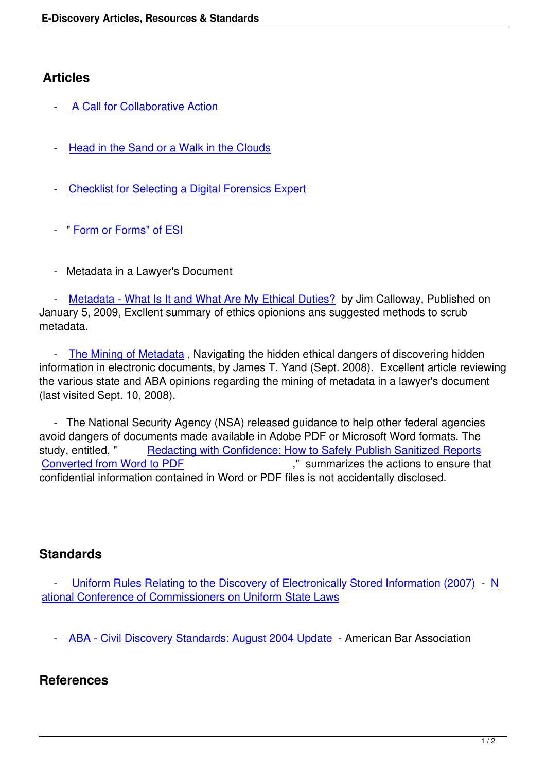## **Articles**

- A Call for Collaborative Action
- [Head in the Sand or a Walk in t](index.php?option=com_content&view=article&id=90:a-call-for-collaborative-action&catid=82:transition-to-digital-information)he Clouds
- [Checklist for Selecting a Digital Forensics](index.php?option=com_content&view=article&id=534&Itemid=585) Expert
- " [Form or Forms" of ESI](index.php?option=com_content&view=article&id=89:selecting-forensics-expert&catid=77:computer-forensics-)
- [Metadata in a Lawyer](index.php?option=com_content&view=article&id=48:qform-or-formsq-of-esi&catid=60:esi-hosting-web-repository-software-and-service)'[s D](index.php?option=com_content&view=article&id=48:qform-or-formsq-of-esi&catid=60:esi-hosting-web-repository-software-and-service)ocument

 - Metadata - What Is It and What Are My Ethical Duties? by Jim Calloway, Published on January 5, 2009, Excllent summary of ethics opionions ans suggested methods to scrub metadata.

- The Mining of Metadata[, Navigating the hidden ethical](http://www.llrx.com/features/metadata.htm) dangers of discovering hidden information in electronic documents, by James T. Yand (Sept. 2008). Excellent article reviewing the various state and ABA opinions regarding the mining of metadata in a lawyer's document (last v[isited Sept. 10, 2008\).](http://www.wsba.org/media/publications/barnews/sep08-yand.htm) 

 - The National Security Agency (NSA) released guidance to help other federal agencies avoid dangers of documents made available in Adobe PDF or Microsoft Word formats. The study, entitled, " Redacting with Confidence: How to Safely Publish Sanitized Reports Converted from Word to PDF ," summarizes the actions to ensure that confidential information contained in Word or PDF files is not accidentally disclosed.

## **Standards**

Uniform Rules Relating to the Discovery of Electronically Stored Information (2007) - N ational Conference of Commissioners on Uniform State Laws

 [- ABA - Civil Discovery Standards: August 2004 Update -](http://www.nccusl.org/Update/CommitteeSearchResults.aspx?committee=248) [American Bar Association](http://www.law.upenn.edu/bll/archives/ulc/udoera/2007_final.htm) 

## **Refe[rences](http://www.abanet.org/litigation/discoverystandards/)**